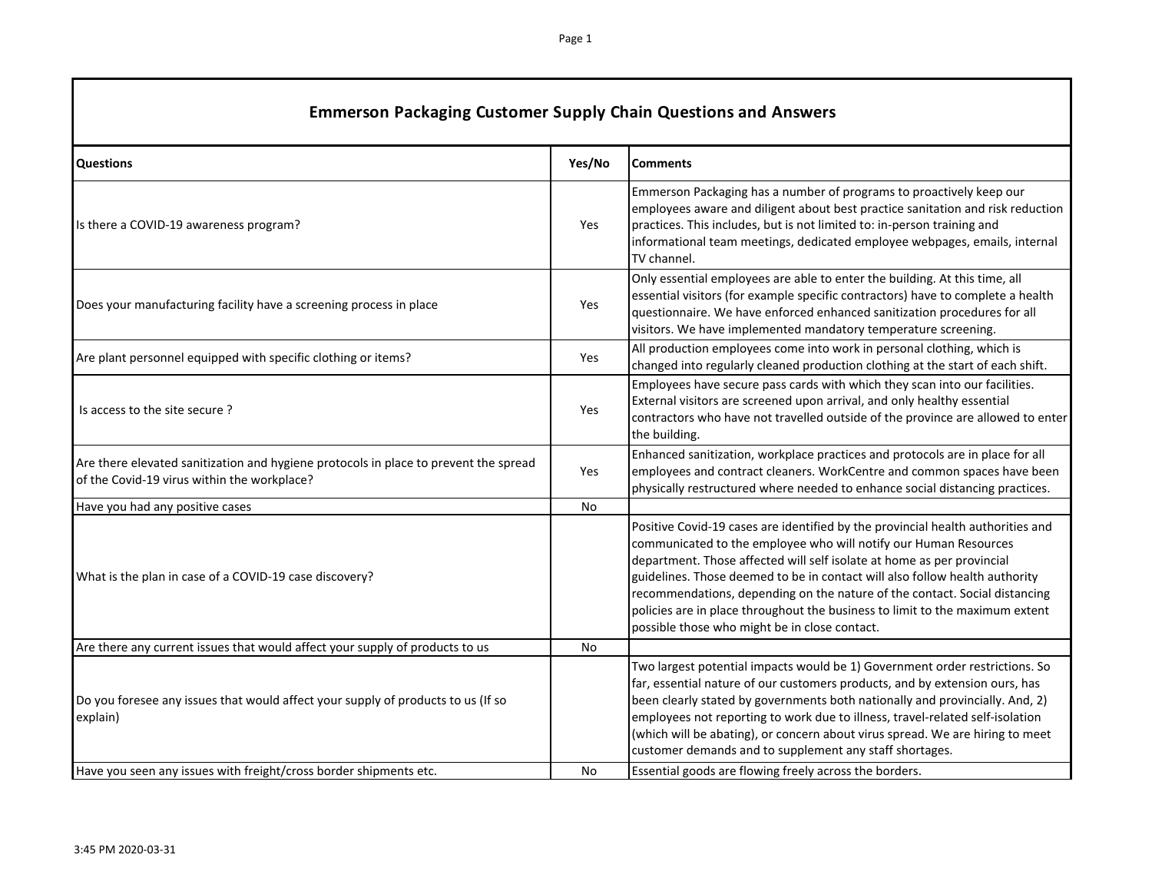| <b>Emmerson Packaging Customer Supply Chain Questions and Answers</b>                                                               |            |                                                                                                                                                                                                                                                                                                                                                                                                                                                                                                                             |  |
|-------------------------------------------------------------------------------------------------------------------------------------|------------|-----------------------------------------------------------------------------------------------------------------------------------------------------------------------------------------------------------------------------------------------------------------------------------------------------------------------------------------------------------------------------------------------------------------------------------------------------------------------------------------------------------------------------|--|
| <b>Questions</b>                                                                                                                    | Yes/No     | <b>Comments</b>                                                                                                                                                                                                                                                                                                                                                                                                                                                                                                             |  |
| Is there a COVID-19 awareness program?                                                                                              | Yes        | Emmerson Packaging has a number of programs to proactively keep our<br>employees aware and diligent about best practice sanitation and risk reduction<br>practices. This includes, but is not limited to: in-person training and<br>informational team meetings, dedicated employee webpages, emails, internal<br>TV channel.                                                                                                                                                                                               |  |
| Does your manufacturing facility have a screening process in place                                                                  | Yes        | Only essential employees are able to enter the building. At this time, all<br>essential visitors (for example specific contractors) have to complete a health<br>questionnaire. We have enforced enhanced sanitization procedures for all<br>visitors. We have implemented mandatory temperature screening.                                                                                                                                                                                                                 |  |
| Are plant personnel equipped with specific clothing or items?                                                                       | <b>Yes</b> | All production employees come into work in personal clothing, which is<br>changed into regularly cleaned production clothing at the start of each shift.                                                                                                                                                                                                                                                                                                                                                                    |  |
| Is access to the site secure?                                                                                                       | Yes        | Employees have secure pass cards with which they scan into our facilities.<br>External visitors are screened upon arrival, and only healthy essential<br>contractors who have not travelled outside of the province are allowed to enter<br>the building.                                                                                                                                                                                                                                                                   |  |
| Are there elevated sanitization and hygiene protocols in place to prevent the spread<br>of the Covid-19 virus within the workplace? | Yes        | Enhanced sanitization, workplace practices and protocols are in place for all<br>employees and contract cleaners. WorkCentre and common spaces have been<br>physically restructured where needed to enhance social distancing practices.                                                                                                                                                                                                                                                                                    |  |
| Have you had any positive cases                                                                                                     | <b>No</b>  |                                                                                                                                                                                                                                                                                                                                                                                                                                                                                                                             |  |
| What is the plan in case of a COVID-19 case discovery?                                                                              |            | Positive Covid-19 cases are identified by the provincial health authorities and<br>communicated to the employee who will notify our Human Resources<br>department. Those affected will self isolate at home as per provincial<br>guidelines. Those deemed to be in contact will also follow health authority<br>recommendations, depending on the nature of the contact. Social distancing<br>policies are in place throughout the business to limit to the maximum extent<br>possible those who might be in close contact. |  |
| Are there any current issues that would affect your supply of products to us                                                        | No         |                                                                                                                                                                                                                                                                                                                                                                                                                                                                                                                             |  |
| Do you foresee any issues that would affect your supply of products to us (If so<br>explain)                                        |            | Two largest potential impacts would be 1) Government order restrictions. So<br>far, essential nature of our customers products, and by extension ours, has<br>been clearly stated by governments both nationally and provincially. And, 2)<br>employees not reporting to work due to illness, travel-related self-isolation<br>(which will be abating), or concern about virus spread. We are hiring to meet<br>customer demands and to supplement any staff shortages.                                                     |  |
| Have you seen any issues with freight/cross border shipments etc.                                                                   | No         | Essential goods are flowing freely across the borders.                                                                                                                                                                                                                                                                                                                                                                                                                                                                      |  |